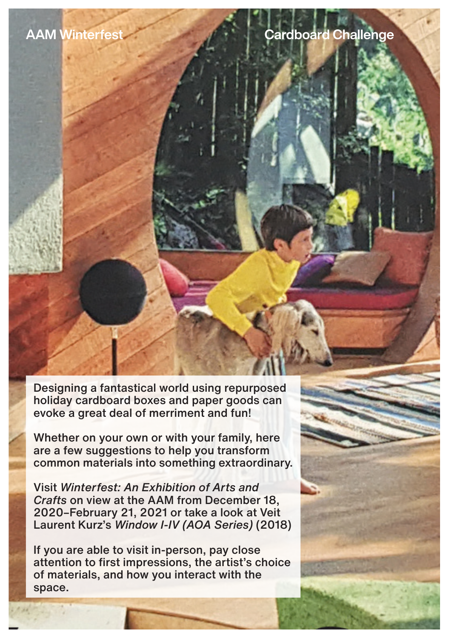Designing a fantastical world using repurposed holiday cardboard boxes and paper goods can evoke a great deal of merriment and fun!

Whether on your own or with your family, here are a few suggestions to help you transform common materials into something extraordinary.

Visit *Winterfest: An Exhibition of Arts and Crafts* on view at the AAM from December 18, 2020–February 21, 2021 or take a look at Veit Laurent Kurz's *Window I-IV (AOA Series)* (2018)

If you are able to visit in-person, pay close attention to first impressions, the artist's choice of materials, and how you interact with the space.